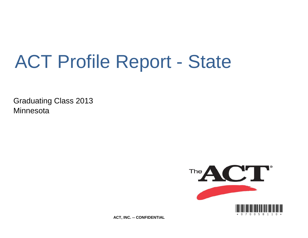# ACT Profile Report - State

Graduating Class 2013 **Minnesota** 



**ACT, INC. -- CONFIDENTIAL**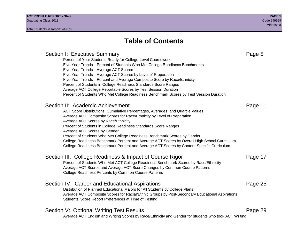## Section I: Executive Summary **Page 5** and the section I: Executive Summary Percent of Your Students Ready for College-Level Coursework Five Year Trends—Percent of Students Who Met College Readiness Benchmarks Five Year Trends—Average ACT Scores Five Year Trends—Average ACT Scores by Level of Preparation Five Year Trends—Percent and Average Composite Score by Race/Ethnicity Percent of Students in College Readiness Standards Score Ranges Average ACT College Reportable Scores by Test Session Duration Percent of Students Who Met College Readiness Benchmark Scores by Test Session Duration Section II: Academic Achievement **Page 11** Page 11 ACT Score Distributions, Cumulative Percentages, Averages, and Quartile Values Average ACT Composite Scores for Race/Ethnicity by Level of Preparation Average ACT Scores by Race/Ethnicity Percent of Students in College Readiness Standards Score Ranges Average ACT Scores by Gender Percent of Students Who Met College Readiness Benchmark Scores by Gender College Readiness Benchmark Percent and Average ACT Scores by Overall High School Curriculum College Readiness Benchmark Percent and Average ACT Scores by Content-Specific Curriculum Section III: College Readiness & Impact of Course Rigor Page 17 Percent of Students Who Met ACT College Readiness Benchmark Scores by Race/Ethnicity Average ACT Scores and Average ACT Score Changes by Common Course Patterns College Readiness Percents by Common Course Patterns Section IV: Career and Educational Aspirations **Page 25** Page 25 Distribution of Planned Educational Majors for All Students by College Plans Average ACT Composite Scores for Racial/Ethnic Groups by Post-Secondary Educational Aspirations Students' Score Report Preferences at Time of Testing Section V: Optional Writing Test Results **Page 29** Page 29 Average ACT English and Writing Scores by Race/Ethnicity and Gender for students who took ACT Writing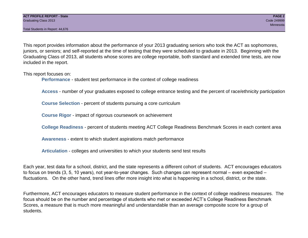This report provides information about the performance of your 2013 graduating seniors who took the ACT as sophomores, juniors, or seniors; and self-reported at the time of testing that they were scheduled to graduate in 2013. Beginning with the Graduating Class of 2013, all students whose scores are college reportable, both standard and extended time tests, are now included in the report.

This report focuses on:

**Performance** - student test performance in the context of college readiness

**Access** - number of your graduates exposed to college entrance testing and the percent of race/ethnicity participation

**Course Selection** - percent of students pursuing a core curriculum

**Course Rigor** - impact of rigorous coursework on achievement

**College Readiness** - percent of students meeting ACT College Readiness Benchmark Scores in each content area

**Awareness** - extent to which student aspirations match performance

**Articulation** - colleges and universities to which your students send test results

Each year, test data for a school, district, and the state represents a different cohort of students. ACT encourages educators to focus on trends (3, 5, 10 years), not year-to-year changes. Such changes can represent normal – even expected – fluctuations. On the other hand, trend lines offer more insight into what is happening in a school, district, or the state.

Furthermore, ACT encourages educators to measure student performance in the context of college readiness measures. The focus should be on the number and percentage of students who met or exceeded ACT's College Readiness Benchmark Scores, a measure that is much more meaningful and understandable than an average composite score for a group of students.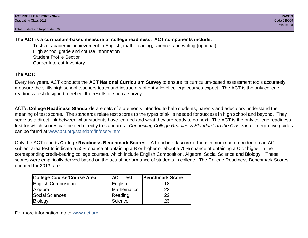### **The ACT is a curriculum-based measure of college readiness. ACT components include:**

Tests of academic achievement in English, math, reading, science, and writing (optional) High school grade and course information Student Profile Section Career Interest Inventory

### **The ACT:**

Every few years, ACT conducts the **ACT National Curriculum Survey** to ensure its curriculum-based assessment tools accurately measure the skills high school teachers teach and instructors of entry-level college courses expect. The ACT is the only college readiness test designed to reflect the results of such a survey.

ACT's **College Readiness Standards** are sets of statements intended to help students, parents and educators understand the meaning of test scores. The standards relate test scores to the types of skills needed for success in high school and beyond. They serve as a direct link between what students have learned and what they are ready to do next. The ACT is the only college readiness test for which scores can be tied directly to standards. *Connecting College Readiness Standards to the Classroom* interpretive guides can be found at www.act.org/standard/infoserv.html.

Only the ACT reports **College Readiness Benchmark Scores** – A benchmark score is the minimum score needed on an ACT subject-area test to indicate a 50% chance of obtaining a B or higher or about a 75% chance of obtaining a C or higher in the corresponding credit-bearing college courses, which include English Composition, Algebra, Social Science and Biology. These scores were empirically derived based on the actual performance of students in college. The College Readiness Benchmark Scores, updated for 2013, are:

| <b>College Course/Course Area</b> | <b>ACT Test</b> | Benchmark Score |
|-----------------------------------|-----------------|-----------------|
| <b>English Composition</b>        | English         | 18              |
| Algebra                           | Mathematics     | 22              |
| <b>Social Sciences</b>            | Reading         | 22              |
| Biology                           | Science         | 23              |

For more information, go to www.act.org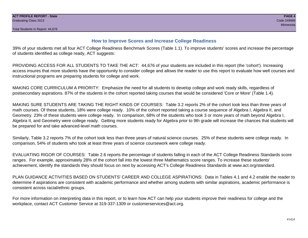### **How to Improve Scores and Increase College Readiness**

39% of your students met all four ACT College Readiness Benchmark Scores (Table 1.1). To improve students' scores and increase the percentage of students identified as college ready, ACT suggests:

PROVIDING ACCESS FOR ALL STUDENTS TO TAKE THE ACT: 44,676 of your students are included in this report (the 'cohort'). Increasing access insures that more students have the opportunity to consider college and allows the reader to use this report to evaluate how well courses and instructional programs are preparing students for college and work.

MAKING CORE CURRICULUM A PRIORITY: Emphasize the need for all students to develop college and work ready skills, regardless of postsecondary aspirations. 87% of the students in the cohort reported taking courses that would be considered 'Core or More' (Table 1.4).

MAKING SURE STUDENTS ARE TAKING THE RIGHT KINDS OF COURSES: Table 3.2 reports 2% of the cohort took less than three years of math courses. Of these students, 18% were college ready. 10% of the cohort reported taking a course sequence of Algebra I, Algebra II, and Geometry. 23% of these students were college ready. In comparison, 68% of the students who took 3 or more years of math beyond Algebra I, Algebra II, and Geometry were college ready. Getting more students ready for Algebra prior to 9th grade will increase the chances that students will be prepared for and take advanced-level math courses.

Similarly, Table 3.2 reports 7% of the cohort took less than three years of natural science courses. 25% of these students were college ready. In comparison, 54% of students who took at least three years of science coursework were college ready.

EVALUATING RIGOR OF COURSES: Table 2.6 reports the percentage of students falling in each of the ACT College Readiness Standards score ranges. For example, approximately 28% of the cohort fall into the lowest three Mathematics score ranges. To increase these students' achievement, identify the standards they should focus on next by accessing ACT's College Readiness Standards at www.act.org/standard.

PLAN GUIDANCE ACTIVITIES BASED ON STUDENTS' CAREER AND COLLEGE ASPIRATIONS: Data in Tables 4.1 and 4.2 enable the reader to determine if aspirations are consistent with academic performance and whether among students with similar aspirations, academic performance is consistent across racial/ethnic groups.

For more information on interpreting data in this report, or to learn how ACT can help your students improve their readiness for college and the workplace, contact ACT Customer Service at 319-337-1309 or customerservices@act.org.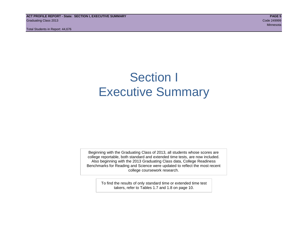**ACT PROFILE REPORT - State: SECTION I, EXECUTIVE SUMMARY PAGE 5** Graduating Class 2013 Code 249999

Total Students in Report: 44,676

Minnesota

# Section I Executive Summary

Beginning with the Graduating Class of 2013, all students whose scores are college reportable, both standard and extended time tests, are now included. Also beginning with the 2013 Graduating Class data, College Readiness Benchmarks for Reading and Science were updated to reflect the most recent college coursework research.

> To find the results of only standard time or extended time test takers, refer to Tables 1.7 and 1.8 on page 10.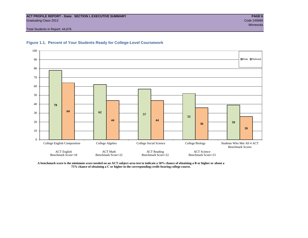#### **ACT PROFILE REPORT - State: SECTION I, EXECUTIVE SUMMARY PAGE 6** Graduating Class 2013 Code 249999

Total Students in Report: 44,676





**A benchmark score is the minimum score needed on an ACT subject-area test to indicate a 50% chance of obtaining a B or higher or about a 75% chance of obtaining a C or higher in the corresponding credit-bearing college course.**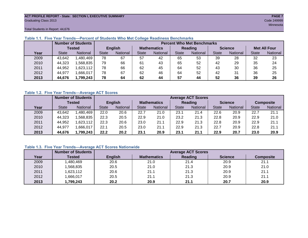#### **ACT PROFILE REPORT - State: SECTION I, EXECUTIVE SUMMARY PAGE 7** Graduating Class 2013 Code 249999

Total Students in Report: 44,676

|      |              | <b>Number of Students</b> |                | <b>Percent Who Met Benchmarks</b> |                    |          |              |          |                |          |                     |          |
|------|--------------|---------------------------|----------------|-----------------------------------|--------------------|----------|--------------|----------|----------------|----------|---------------------|----------|
|      | Tested       |                           | <b>English</b> |                                   | <b>Mathematics</b> |          | Reading      |          | <b>Science</b> |          | <b>Met All Four</b> |          |
| Year | <b>State</b> | <b>National</b>           | <b>State</b>   | National                          | State              | National | <b>State</b> | National | <b>State</b>   | National | <b>State</b>        | National |
| 2009 | 43,642       | 1,480,469                 | 78             | 67                                | 57                 | 42       | 65           | 53       | 39             | 28       | 32                  | 23       |
| 2010 | 44,323       | .568,835                  | 79             | 66                                | 61                 | 43       | 65           | 52       | 42             | 29       | 35                  | 24       |
| 2011 | 44,952       | 1,623,112                 | 78             | 66                                | 62                 | 45       | 64           | 52       | 43             | 30       | 36                  | 25       |
| 2012 | 44,977       | 1,666,017                 | 78             | 67                                | 62                 | 46       | 64           | 52       | 42             | 31       | 36                  | 25       |
| 2013 | 44,676       | 1,799,243                 | 78             | 64                                | 62                 | 44       | 57           | 44       | 52             | 36       | 39                  | 26       |

#### **Table 1.1. Five Year Trends—Percent of Students Who Met College Readiness Benchmarks**

#### **Table 1.2. Five Year Trends—Average ACT Scores**

|      |              | <b>Number of Students</b> |                |                 |                                 |      | <b>Average ACT Scores</b> |                 |                |          |                  |          |
|------|--------------|---------------------------|----------------|-----------------|---------------------------------|------|---------------------------|-----------------|----------------|----------|------------------|----------|
|      | Tested       |                           | <b>English</b> |                 | <b>Mathematics</b>              |      | <b>Reading</b>            |                 | <b>Science</b> |          | <b>Composite</b> |          |
| Year | <b>State</b> | National                  | <b>State</b>   | <b>National</b> | <b>State</b><br><b>National</b> |      | <b>State</b>              | <b>National</b> | <b>State</b>   | National | <b>State</b>     | National |
| 2009 | 43.642       | .480.469                  | 22.0           | 20.6            | 22.7                            | 21.0 | 23.1                      | 21.4            | 22.6           | 20.9     | 22.7             | 21.1     |
| 2010 | 44,323       | .568.835                  | 22.3           | 20.5            | 22.9                            | 21.0 | 23.2                      | 21.3            | 22.8           | 20.9     | 22.9             | 21.0     |
| 2011 | 44.952       | ,623,112                  | 22.3           | 20.6            | 23.0                            | 21.1 | 22.9                      | 21.3            | 22.8           | 20.9     | 22.9             | 21.1     |
| 2012 | 44,977       | .666,017                  | 22.1           | 20.5            | 23.0                            | 21.1 | 22.9                      | 21.3            | 22.7           | 20.9     | 22.8             | 21.1     |
| 2013 | 44,676       | 1,799,243                 | 22.2           | 20.2            | 23.1                            | 20.9 | 23.1                      | 21.1            | 22.9           | 20.7     | 23.0             | 20.9     |

#### **Table 1.3. Five Year Trends—Average ACT Scores Nationwide**

|      | <b>Number of Students</b> | <b>Average ACT Scores</b> |                    |         |                |                  |  |  |  |  |
|------|---------------------------|---------------------------|--------------------|---------|----------------|------------------|--|--|--|--|
| Year | Tested                    | <b>English</b>            | <b>Mathematics</b> | Reading | <b>Science</b> | <b>Composite</b> |  |  |  |  |
| 2009 | ,480,469                  | 20.6                      | 21.0               | 21.4    | 20.9           | 21.1             |  |  |  |  |
| 2010 | ,568,835                  | 20.5                      | 21.0               | 21.3    | 20.9           | 21.0             |  |  |  |  |
| 2011 | ,623,112                  | 20.6                      | 21.1               | 21.3    | 20.9           | 21.1             |  |  |  |  |
| 2012 | ,666,017                  | 20.5                      | 21.1               | 21.3    | 20.9           | 21.1             |  |  |  |  |
| 2013 | ,799,243                  | 20.2                      | 20.9               | 21.1    | 20.7           | 20.9             |  |  |  |  |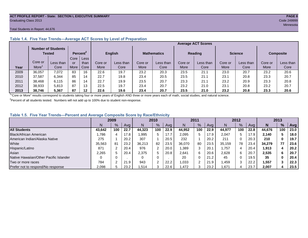#### **ACT PROFILE REPORT - State: SECTION I, EXECUTIVE SUMMARY PAGE 8** Graduating Class 2013 Code 249999

#### Total Students in Report: 44,676

|      |                                     |           |             |                      |         | <b>Average ACT Scores</b> |                    |           |         |                |         |                |                  |           |
|------|-------------------------------------|-----------|-------------|----------------------|---------|---------------------------|--------------------|-----------|---------|----------------|---------|----------------|------------------|-----------|
|      | <b>Number of Students</b><br>Tested |           |             | Percent <sup>2</sup> |         | <b>English</b>            | <b>Mathematics</b> |           |         | <b>Reading</b> |         | <b>Science</b> | <b>Composite</b> |           |
|      |                                     |           | Core        | Less                 |         |                           |                    |           |         |                |         |                |                  |           |
|      | Core or                             | Less than | or          | than                 | Core or | Less than                 | Core or            | Less than | Core or | Less than      | Core or | Less than      | Core or          | Less than |
| Year | More                                | Core      | <b>More</b> | Core                 | More    | Core                      | More               | Core      | More    | Core           | More    | Core           | More             | Core      |
| 2009 | 36,057                              | 7,072     | 83          | 16                   | 22.6    | 19.7                      | 23.2               | 20.3      | 23.5    | 21.1           | 23.0    | 20.7           | 23.2             | 20.6      |
| 2010 | 37,587                              | 6.344     | 85          | 14                   | 22.7    | 19.8                      | 23.4               | 20.5      | 23.5    | 21.1           | 23.1    | 20.8           | 23.3             | 20.7      |
| 2011 | 38,468                              | 6,115     | 86          | 14                   | 22.7    | 19.9                      | 23.5               | 20.7      | 23.3    | 21.1           | 23.2    | 20.9           | 23.3             | 20.8      |
| 2012 | 38,933                              | 5.813     | 87          | 13                   | 22.5    | 19.7                      | 23.4               | 20.7      | 23.2    | 21.0           | 23.1    | 20.8           | 23.2             | 20.7      |
| 2013 | 38.746                              | 5.367     | 87          | 12                   | 22.6    | 19.6                      | 23.4               | 20.7      | 23.5    | 21.0           | 23.2    | 20.8           | 23.3             | 20.6      |

#### **Table 1.4. Five Year Trends—Average ACT Scores by Level of Preparation**

<sup>1</sup>"Core or More" results correspond to students taking four or more years of English AND three or more years each of math, social studies, and natural science.

 $2$ Percent of all students tested. Numbers will not add up to 100% due to student non-response.

#### **Table 1.5. Five Year Trends—Percent and Average Composite Score by Race/Ethnicity**

|                                        | 2009   |     |      | 2010   |               | 2011 |        |     | 2012 |        |     | 2013 |        |     |            |
|----------------------------------------|--------|-----|------|--------|---------------|------|--------|-----|------|--------|-----|------|--------|-----|------------|
|                                        | N      | %   | Avg  | N      | $\frac{9}{6}$ | Avg  | N      | %   | Avg  | N      | %   | Ava  | N      | %   | <b>Avg</b> |
| <b>All Students</b>                    | 43.642 | 100 | 22.7 | 44.323 | 100           | 22.9 | 44.952 | 100 | 22.9 | 44.977 | 100 | 22.8 | 44.676 | 100 | 23.0       |
| Black/African American                 | .786   |     | 17.8 | 1,995  | 5             | 17.7 | 2,095  | 5   | 17.9 | 2.047  | 5.  | 17.9 | 2.140  |     | 18.0       |
| American Indian/Alaska Native          | 275    |     | 20.2 | 307    |               | 20.5 | 232    |     | 20.2 | 211    | 0   | 20.3 | 210    |     | 19.7       |
| White                                  | 35,563 | 81  | 23.2 | 36.213 | 82            | 23.5 | 36.070 | 80  | 23.5 | 35.159 | 78  | 23.4 | 34.279 | 77  | 23.6       |
| Hispanic/Latino                        | 871    |     | 20.4 | 976    |               | 20.0 | .389   | 3   | 20.1 | 1.757  | 4   | 20.4 | 1,913  |     | 20.2       |
| Asian                                  | 2,265  |     | 20.4 | 2,375  | 5             | 20.8 | 2,641  | 6   | 20.6 | 2,628  | 6   | 20.7 | 2,535  | 6   | 20.7       |
| Native Hawaiian/Other Pacific Islander |        |     |      |        | 0             |      | 20     | 0   | 21.2 | 45     | 0   | 19.5 | 35     |     | 20.4       |
| Two or more races                      | 784    |     | 21.9 | 943    | $\sim$        | 22.2 | ,033   |     | 21.9 | I,459  | 3   | 22.2 | 1,557  |     | 22.3       |
| Prefer not to respond/No response      | 2,098  |     | 23.2 | 1,514  | っ<br>w        | 22.6 | ,472   |     | 23.2 | .,671  | 4   | 23.7 | 2,007  |     | 23.5       |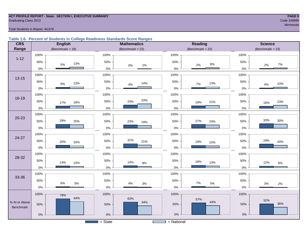#### **ACT PROFILE REPORT - State: SECTION I, EXECUTIVE SUMMARY PAGE 9** Code 249999 Craduating Class 2013

#### Total Students in Report: 44,676

#### **Table 1.6. Percent of Students in College Readiness Standards Score Ranges**

| <b>CRS</b>    | <b>English</b>        | <b>Mathematics</b>     | Reading               | <b>Science</b>      |
|---------------|-----------------------|------------------------|-----------------------|---------------------|
| Range         | (Benchmark = $18$ )   | $(Benchmark = 22)$     | (Benchmark = $22$ )   | (Benchmark = $23$ ) |
| $1 - 12$      | 100%                  | 100%                   | 100%                  | 100%                |
|               | 50%<br>13%<br>5%      | 50%<br>$0\%$<br>$1\%$  | $50\%$<br>$8\%$<br>2% | 50%<br>7%<br>2%     |
|               | $0\%$                 | $0\%$                  | $0\%$                 | 0%                  |
| $13 - 15$     | 100%                  | 100%                   | 100%                  | 100%                |
|               | 50%<br>13%<br>$9%$    | 50%<br>14%<br>$4\%$    | 50%<br>13%<br>7%      | 50%<br>10%<br>4%    |
|               | 0%                    | $0\%$                  | $0\%$                 | $0\%$               |
|               | 100%                  | 100%                   | 100%                  | 100%                |
| 16-19         | 50%<br>17%<br>18%     | 33%<br>50%<br>24%      | 50%<br>21%<br>19%     | 50%<br>23%<br>16%   |
|               | $0\%$                 | $0\%$                  | $0\%$                 | 0%                  |
| $20 - 23$     | 100%                  | 100%                   | 100%                  | 100%                |
|               | 29%<br>25%<br>50%     | 50%<br>23%<br>19%      | 27%<br>50%<br>24%     | 33%<br>30%<br>50%   |
|               | $0\%$                 | $0\%$                  | $0\%$                 | 0%                  |
| 24-27         | 100%                  | 100%                   | 100%                  | 100%                |
|               | 50%<br>20%<br>16%     | 31%<br>50%<br>21%      | 50%<br>19%<br>15%     | 29%<br>50%<br>20%   |
|               | $0\%$                 | $0\%$                  | $0\%$                 | 0%                  |
| 28-32         | 100%                  | 100%                   | 100%                  | 100%                |
|               | 50%<br>13%<br>10%     | 50%<br>14%<br>$9\%$    | 50%<br>18%<br>13%     | 50%<br>12%<br>$8\%$ |
|               | $0\%$                 | $0\%$                  | $0\%$                 | 0%                  |
| 33-36         | 100%                  | 100%                   | 100%                  | 100%                |
|               | 50%<br>$6\%$<br>$5\%$ | 50%<br>$4\%$<br>$3%$   | 50%<br>7%<br>5%       | 50%<br>$3%$<br>2%   |
|               | $0\%$                 | $0\%$                  | $0\%$                 | 0%                  |
|               | 100%<br>78%           | 100%                   | 100%                  | 100%                |
| % At or Above | 64%                   | 62%<br>44%             | 57%<br>44%            | 52%                 |
| Benchmark     | 50%                   | 50%                    | 50%                   | 36%<br>50%          |
|               | $0\%$                 | $0\%$                  | $0\%$                 | $0\%$               |
|               |                       | $\overline{S}$ = State | $=$ National          |                     |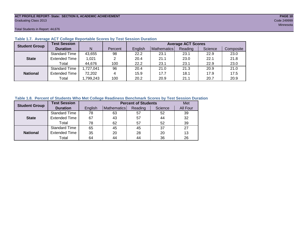#### **ACT PROFILE REPORT- State: SECTION II, ACADEMIC ACHIEVEMENT PAGE 10** Graduating Class 2013 Code 249999

Total Students in Report: 44,676

| <b>Student Group</b> | <b>Test Session</b>  |           |         |         |             | <b>Average ACT Scores</b> |         |           |
|----------------------|----------------------|-----------|---------|---------|-------------|---------------------------|---------|-----------|
|                      | <b>Duration</b>      | N         | Percent | English | Mathematics | Reading                   | Science | Composite |
|                      | <b>Standard Time</b> | 43,655    | 98      | 22.2    | 23.1        | 23.1                      | 22.9    | 23.0      |
| <b>State</b>         | <b>Extended Time</b> | 1,021     | 2       | 20.4    | 21.1        | 23.0                      | 22.1    | 21.8      |
|                      | Total                | 44,676    | 100     | 22.2    | 23.1        | 23.1                      | 22.9    | 23.0      |
|                      | <b>Standard Time</b> | 1,727,041 | 96      | 20.4    | 21.0        | 21.3                      | 20.9    | 21.0      |
| <b>National</b>      | <b>Extended Time</b> | 72,202    | 4       | 15.9    | 17.7        | 18.1                      | 17.9    | 17.5      |
|                      | Total                | ,799,243  | 100     | 20.2    | 20.9        | 21.1                      | 20.7    | 20.9      |

#### **Table 1.7. Average ACT College Reportable Scores by Test Session Duration**

#### **Table 1.8. Percent of Students Who Met College Readiness Benchmark Scores by Test Session Duration**

| <b>Student Group</b> | <b>Test Session</b>  |         | Met         |         |         |          |
|----------------------|----------------------|---------|-------------|---------|---------|----------|
|                      | <b>Duration</b>      | English | Mathematics | Reading | Science | All Four |
|                      | Standard Time        | 78      | 63          | 57      | 52      | 39       |
| <b>State</b>         | <b>Extended Time</b> | 67      | 43          | 57      | 44      | 32       |
|                      | Total                | 78      | 62          | 57      | 52      | 39       |
|                      | <b>Standard Time</b> | 65      | 45          | 45      | 37      | 27       |
| <b>National</b>      | <b>Extended Time</b> | 35      | 20          | 28      | 20      | 13       |
|                      | Total                | 64      | 44          | 44      | 36      | 26       |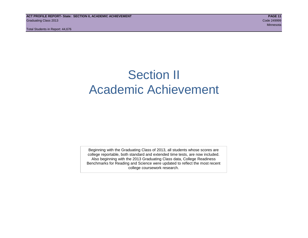# Section II Academic Achievement

Beginning with the Graduating Class of 2013, all students whose scores are college reportable, both standard and extended time tests, are now included. Also beginning with the 2013 Graduating Class data, College Readiness Benchmarks for Reading and Science were updated to reflect the most recent college coursework research.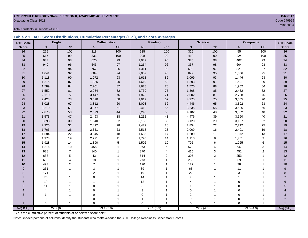# **ACT PROFILE REPORT- State: SECTION II, ACADEMIC ACHIEVEMENT PAGE 12** Graduating Class 2013 Code 249999

Total Students in Report: 44,676

|  | Table 2.1. ACT Score Distributions, Cumulative Percentages (CP <sup>1</sup> ), and Score Averages |  |  |  |
|--|---------------------------------------------------------------------------------------------------|--|--|--|
|  |                                                                                                   |  |  |  |

| <b>ACT Scale</b> |          | <b>English</b> |                | <b>Mathematics</b> |                | Reading   |                | <b>Science</b> |          | <b>Composite</b> | <b>ACT Scale</b> |
|------------------|----------|----------------|----------------|--------------------|----------------|-----------|----------------|----------------|----------|------------------|------------------|
| <b>Score</b>     | N        | <b>CP</b>      | N              | CP                 | N              | CP        | N              | CP             | N        | CP               | <b>Score</b>     |
| 36               | 275      | 100            | 218            | 100                | 635            | 100       | 326            | 100            | 55       | 100              | $\overline{36}$  |
| 35               | 617      | 99             | 331            | 100                | 208            | 99        | 410            | 99             | 224      | 100              | 35               |
| 34               | 933      | 98             | 670            | 99                 | 1,037          | 98        | 370            | 98             | 402      | 99               | 34               |
| 33               | 949      | 96             | 543            | 97                 | 1,264          | 96        | 337            | 98             | 604      | 98               | 33               |
| 32               | 780      | 94             | 767            | 96                 | 1,311          | 93        | 692            | 97             | 821      | 97               | 32               |
| 31               | 1,041    | 92             | 684            | 94                 | 2,002          | 90        | 829            | 95             | 1,056    | 95               | 31               |
| 30               | 1,118    | 90             | 1,072          | 93                 | 1,611          | 86        | 1,099          | 93             | 1,446    | 93               | 30               |
| 29               | 1,215    | 87             | 1,386          | $90\,$             | 1,619          | 82        | 1,293          | 91             | 1,591    | 90               | 29               |
| 28               | 1,589    | 84             | 2,201          | 87                 | 1,678          | 78        | 1,520          | 88             | 1,952    | 86               | 28               |
| 27               | 1,552    | 81             | 2,984          | 82                 | 1,739          | 75        | 1,808          | 85             | 2,432    | 82               | 27               |
| 26               | 2,110    | 77             | 3,447          | 76                 | 1,823          | 71        | 2,502          | 81             | 2,738    | 76               | 26               |
| 25               | 2,428    | 73             | 3,690          | 68                 | 1,919          | 67        | 4,275          | 75             | 3,055    | 70               | 25               |
| 24               | 3,028    | 67             | 3,812          | 60                 | 3,093          | 62        | 4,446          | 65             | 3,392    | 63               | 24               |
| 23               | 3,210    | 61             | 3,377          | 51                 | 2,412          | 55        | 3,235          | 55             | 3,535    | 56               | 23               |
| 22               | 2,875    | 53             | 2,693          | 44                 | 3,245          | 50        | 4,102          | 48             | 3,552    | 48               | 22               |
| 21               | 3,573    | 47             | 2,493          | 38                 | 3,232          | 43        | 4,476          | 39             | 3,590    | 40               | 21               |
| 20               | 3,398    | 39             | 1,640          | 32                 | 3,133          | 35        | 3,120          | 29             | 3,157    | 32               | 20               |
| 19               | 2,326    | 31             | 2,492          | 28                 | 2,479          | 28        | 2,854          | 22             | 2,712    | 25               | 19               |
| 18               | 1,766    | 26             | 2,351          | 23                 | 2,518          | 23        | 2,009          | 16             | 2,401    | 19               | 18               |
| 17               | 1,584    | 22             | 3,045          | 18                 | 1,655          | 17        | 1,289          | 11             | 1,872    | 13               | $17$             |
| 16               | 1,973    | 19             | 2,721          | 11                 | 1,720          | 14        | 1,110          | 8              | 1,461    | 9                | 16               |
| 15               | 1,928    | 14             | 1,390          | $\,$ 5 $\,$        | 1,502          | 10        | 795            | 6              | 1,065    | 6                | 15               |
| 14               | 1,216    | 10             | 455            | $\mathbf{1}$       | 973            | 6         | 570            | $\overline{4}$ | 747      | 3                | 14               |
| 13               | 928      | $\overline{7}$ | 140            | 1                  | 870            | 4         | 415            | 3              | 451      | $\overline{2}$   | 13               |
| 12               | 633      | 5              | 43             | 1                  | 514            | 2         | 305            | 2              | 253      | 1                | 12               |
| 11               | 605      | 4              | 18             |                    | 273            |           | 263            |                | 69       | 1                | 11               |
| 10               | 493      | 2              | $\overline{7}$ |                    | 120            |           | 127            |                | 28       |                  | 10               |
| 9                | 251      |                | 3              |                    | 39             |           | 63             |                | 11       |                  | 9                |
| 8                | 171      |                | $\overline{2}$ |                    | 19             |           | 22             |                | 3        |                  | 8                |
| $\overline{7}$   | 76       |                | $\Omega$       |                    | 14             |           | $\overline{7}$ |                | 1        |                  | $\overline{7}$   |
| 6                | 19       |                | 1              |                    | 12             |           | 4              |                | 0        |                  | 6                |
| 5                | 11       |                | $\mathbf 0$    |                    | 3              |           |                |                | 0        |                  | 5                |
| 4                | 4        |                | $\pmb{0}$      |                    | $\mathsf 3$    |           | $\mathbf 0$    |                | 0        |                  |                  |
| 3                | 1        |                | $\mathbf 0$    |                    | $\mathbf 0$    |           | $\mathbf 2$    |                | 0        |                  | 3                |
| $\overline{2}$   | 0        |                | 0              |                    |                |           | $\mathbf 0$    |                | $\Omega$ |                  | $\overline{2}$   |
|                  | $\Omega$ | $\overline{1}$ | $\Omega$       | 1                  | $\overline{0}$ |           | $\Omega$       | $\overline{1}$ | $\Omega$ |                  |                  |
| Avg (SD)         |          | 22.2(6.0)      |                | 23.1(5.0)          |                | 23.1(5.9) | 22.9(4.8)      |                |          | 23.0(4.9)        | Avg (SD)         |

<sup>1</sup>CP is the cumulative percent of students at or below a score point.

Note: Shaded portions of columns identify the students who met/exceeded the ACT College Readiness Benchmark Scores.

Minnesota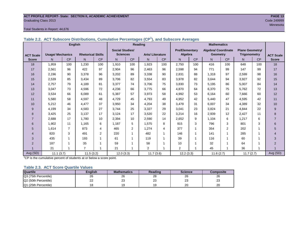#### **ACT PROFILE REPORT- State: SECTION II, ACADEMIC ACHIEVEMENT PAGE 13 Graduating Class 2013** Code 249999

#### Total Students in Report: 44,676

|  |  |  | Table 2.2. ACT Subscore Distributions, Cumulative Percentages (CP <sup>1</sup> ), and Subscore Averages |
|--|--|--|---------------------------------------------------------------------------------------------------------|
|  |  |  |                                                                                                         |

|                  | <b>English</b>          |                |                          |                | Reading                |                |                        |           | <b>Mathematics</b>    |           |                            |                |                        |     |                  |
|------------------|-------------------------|----------------|--------------------------|----------------|------------------------|----------------|------------------------|-----------|-----------------------|-----------|----------------------------|----------------|------------------------|-----|------------------|
|                  |                         |                |                          |                | <b>Social Studies/</b> |                |                        |           | <b>Pre/Elementary</b> |           | <b>Algebra/ Coordinate</b> |                | <b>Plane Geometry/</b> |     |                  |
| <b>ACT Scale</b> | <b>Usage/ Mechanics</b> |                | <b>Rhetorical Skills</b> |                | <b>Sciences</b>        |                | <b>Arts/Literature</b> |           | Algebra               |           | <b>Geometry</b>            |                | <b>Trigonometry</b>    |     | <b>ACT Scale</b> |
| <b>Score</b>     | N.                      | CP             | N <sub>1</sub>           | CP             | N                      | <b>CP</b>      | N.                     | <b>CP</b> | N.                    | <b>CP</b> | N                          | <b>CP</b>      | N.                     | CP  | <b>Score</b>     |
| 18               | 1,959                   | 100            | 1,230                    | 100            | 1,910                  | 100            | 1,923                  | 100       | 2,750                 | 100       | 416                        | 100            | 648                    | 100 | 18               |
| 17               | 2,561                   | 96             | 422                      | 97             | 2,904                  | 96             | 2.463                  | 96        | 2,598                 | 94        | 771                        | 99             | 147                    | 99  | 17               |
| 16               | 2,196                   | 90             | 3,378                    | 96             | 3,202                  | 89             | 3,338                  | 90        | 2,831                 | 88        | 1,318                      | 97             | 2,599                  | 98  | 16               |
| 15               | 2,539                   | 85             | 3,434                    | 89             | 3,706                  | 82             | 3,554                  | 83        | 3,978                 | 82        | 3,644                      | 94             | 3,927                  | 92  | 15               |
| 14               | 2,757                   | 79             | 4.189                    | 81             | 3,377                  | 74             | 3,706                  | 75        | 3,830                 | 73        | 5,195                      | 86             | 5,007                  | 84  | 14               |
| 13               | 3,047                   | 73             | 4,596                    | 72             | 4,236                  | 66             | 3,775                  | 66        | 4,870                 | 64        | 6,370                      | 75             | 5,762                  | 72  | 13               |
| 12               | 3,534                   | 66             | 6,089                    | 61             | 5,387                  | 57             | 3,973                  | 58        | 4,992                 | 53        | 6,164                      | 60             | 7,666                  | 60  | 12               |
| 11               | 5,580                   | 58             | 4,597                    | 48             | 4,729                  | 45             | 4.793                  | 49        | 4,952                 | 42        | 5,440                      | 47             | 4,595                  | 42  | 11               |
| 10               | 5,212                   | 46             | 4,477                    | 37             | 3,950                  | 34             | 4,204                  | 38        | 3,479                 | 31        | 6,007                      | 34             | 4,389                  | 32  | 10               |
| 9                | 4,199                   | 34             | 4,583                    | 27             | 3,744                  | 25             | 3,327                  | 29        | 3,041                 | 23        | 3,824                      | 21             | 4,844                  | 22  | 9                |
| 8                | 3,425                   | 25             | 3,137                    | 17             | 3,124                  | 17             | 3,520                  | 22        | 3,214                 | 16        | 2,939                      | 12             | 2,427                  | 11  | 8                |
| $\overline{7}$   | 2,688                   | 17             | 1,780                    | 10             | 2,394                  | 10             | 2,590                  | 14        | 2,652                 | 9         | 1,104                      | 6              | 1,217                  | 6   | $\overline{7}$   |
| 6                | 1,902                   | 11             | 1,165                    | 6              | 1,187                  | 5              | 1,575                  | 8         | 915                   | 3         | 796                        | 3              | 801                    | 3   | 6                |
| 5                | 1,614                   | $\overline{7}$ | 873                      | 4              | 465                    | $\overline{2}$ | 1,274                  | 4         | 377                   |           | 354                        | $\overline{2}$ | 202                    |     | 5                |
| $\overline{4}$   | 820                     | 3              | 491                      | $\overline{2}$ | 220                    | 1              | 482                    |           | 146                   | 1         | 141                        | 1              | 285                    |     | $\overline{4}$   |
| 3                | 435                     | 1              | 193                      | 1              | 61                     |                | 119                    |           | 39                    |           | 116                        |                | 60                     |     | 3                |
| 2                | 187                     |                | 35                       |                | 59                     |                | 58                     |           | 10                    |           | 32                         |                | 64                     |     | $\overline{2}$   |
|                  | 21                      | $\overline{ }$ | $\overline{7}$           | 1              | 21                     | 1              | 2                      |           | $\overline{2}$        |           | 45                         |                | 36                     |     |                  |
| Avg (SD)         | 11.1(3.7)<br>11.5(3.2)  |                | 12.0(3.3)<br>11.7(3.6)   |                |                        | 12.2(3.3)      |                        | 11.6(2.7) |                       | 11.7(2.7) |                            | Avg (SD)       |                        |     |                  |

<sup>1</sup>CP is the cumulative percent of students at or below a score point.

#### **Table 2.3. ACT Score Quartile Values**

| <b>Quartile</b>      | Enalish | <b>Mathematics</b> | Reading  | <b>Science</b> | Composite |
|----------------------|---------|--------------------|----------|----------------|-----------|
| Q3 (75th Percentile) | 26      | 26                 | 28       | 26             | 26        |
| Q2 (50th Percentile) | 22      | ົ<br>ںے            | nr<br>ںے | nn<br>د∠       | nn<br>دے  |
| Q1 (25th Percentile) |         |                    |          | 20             | 20        |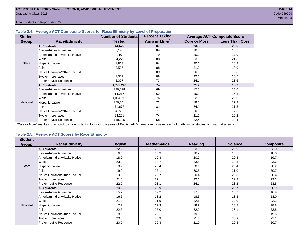#### **Table 2.4. Average ACT Composite Scores for Race/Ethnicity by Level of Preparation**

| <b>Student</b>  |                                 | <b>Number of Students</b> | <b>Percent Taking</b>     |                     | <b>Average ACT Composite Score</b> |  |
|-----------------|---------------------------------|---------------------------|---------------------------|---------------------|------------------------------------|--|
| <b>Group</b>    | <b>Race/Ethnicity</b>           | <b>Tested</b>             | Core or More <sup>1</sup> | <b>Core or More</b> | <b>Less Than Core</b>              |  |
|                 | <b>All Students</b>             | 44,676                    | 87                        | 23.3                | 20.6                               |  |
|                 | <b>Black/African American</b>   | 2,140                     | 84                        | 18.3                | 16.2                               |  |
|                 | American Indian/Alaska Native   | 210                       | 79                        | 20.2                | 17.9                               |  |
|                 | White                           | 34,279                    | 88                        | 23.9                | 21.3                               |  |
| <b>State</b>    | Hispanic/Latino                 | 1,913                     | 84                        | 20.6                | 18.2                               |  |
|                 | Asian                           | 2,535                     | 88                        | 21.0                | 18.9                               |  |
|                 | Native Hawaiian/Other Pac. Isl. | 35                        | 89                        | 20.5                | 19.3                               |  |
|                 | I Two or more races             | 1,557                     | 88                        | 22.5                | 20.5                               |  |
|                 | Prefer not/No Response          | 2,007                     | 73                        | 24.1                | 21.6                               |  |
|                 | <b>All Students</b>             | 1,799,243                 | 74                        | 21.7                | 18.7                               |  |
|                 | Black/African American          | 239,598                   | 69                        | 17.5                | 15.6                               |  |
|                 | American Indian/Alaska Native   | 14,217                    | 62                        | 19.1                | 16.5                               |  |
|                 | <b>White</b>                    | 1,034,712                 | 76                        | 22.9                | 20.0                               |  |
| <b>National</b> | Hispanic/Latino                 | 259,741                   | 72                        | 19.5                | 17.2                               |  |
|                 | Asian                           | 71,677                    | 81                        | 24.1                | 21.5                               |  |
|                 | Native Hawaiian/Other Pac. Isl. | 4,772                     | 71                        | 20.5                | 17.5                               |  |
|                 | Two or more races               | 64,221                    | 74                        | 21.9                | 19.2                               |  |
|                 | Prefer not/No Response          | 110,305                   | 58                        | 22.4                | 18.4                               |  |

<sup>1</sup>"Core or More" results correspond to students taking four or more years of English AND three or more years each of math, social studies, and natural science.

#### **Table 2.5. Average ACT Scores by Race/Ethnicity**

| <b>Student</b>  |                                 |                |                    |         |                |                  |
|-----------------|---------------------------------|----------------|--------------------|---------|----------------|------------------|
| Group           | <b>Race/Ethnicity</b>           | <b>English</b> | <b>Mathematics</b> | Reading | <b>Science</b> | <b>Composite</b> |
|                 | <b>All Students</b>             | 22.2           | 23.1               | 23.1    | 22.9           | 23.0             |
|                 | <b>Black/African American</b>   | 16.6           | 18.3               | 18.2    | 18.2           | 18.0             |
|                 | American Indian/Alaska Native   | 18.2           | 19.8               | 20.2    | 20.3           | 19.7             |
|                 | White                           | 23.0           | 23.7               | 23.8    | 23.5           | 23.6             |
| <b>State</b>    | Hispanic/Latino                 | 18.9           | 20.4               | 20.6    | 20.4           | 20.2             |
|                 | Asian                           | 19.0           | 22.1               | 20.3    | 21.0           | 20.7             |
|                 | Native Hawaiian/Other Pac. Isl. | 19.6           | 20.7               | 20.4    | 20.3           | 20.4             |
|                 | Two or more races               | 21.6           | 22.1               | 22.6    | 22.2           | 22.3             |
|                 | Prefer not/No Response          | 22.9           | 23.1               | 24.1    | 23.2           | 23.5             |
|                 | <b>All Students</b>             | 20.2           | 20.9               | 21.1    | 20.7           | 20.9             |
|                 | Black/African American          | 15.7           | 17.2               | 17.0    | 16.9           | 16.9             |
|                 | American Indian/Alaska Native   | 16.6           | 18.2               | 18.3    | 18.3           | 18.0             |
|                 | <b>White</b>                    | 21.8           | 21.9               | 22.6    | 22.0           | 22.2             |
| <b>National</b> | Hispanic/Latino                 | 17.7           | 19.3               | 18.9    | 18.8           | 18.8             |
|                 | Asian                           | 22.5           | 25.0               | 22.9    | 23.1           | 23.5             |
|                 | Native Hawaiian/Other Pac. Isl. | 18.6           | 20.1               | 19.5    | 19.5           | 19.5             |
|                 | Two or more races               | 20.6           | 20.9               | 21.6    | 20.9           | 21.1             |
|                 | Prefer not/No Response          | 20.0           | 20.8               | 21.0    | 20.5           | 20.7             |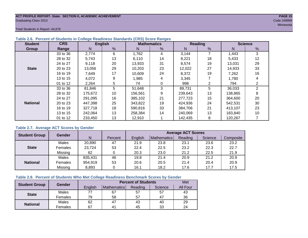#### **ACT PROFILE REPORT- State: SECTION II, ACADEMIC ACHIEVEMENT PAGE 15** Graduating Class 2013 Code 249999

Total Students in Report: 44,676

| <b>Student</b>  | <b>CRS</b>        | <b>English</b>              |    |         | <b>Mathematics</b> |         | Reading | <b>Science</b> |                |  |
|-----------------|-------------------|-----------------------------|----|---------|--------------------|---------|---------|----------------|----------------|--|
| Group           | Range             | N                           | %  | N       | %                  | N       | %       | N              | %              |  |
|                 | 33 to 36          | 2,774                       | 6  | 1,762   | 4                  | 3,144   | 7       | 1,443          | 3              |  |
|                 | 28 to 32          | 5,743                       | 13 | 6,110   | 14                 | 8,221   | 18      | 5,433          | 12             |  |
|                 | 9,118<br>24 to 27 |                             | 20 | 13,933  | 31                 | 8,574   | 19      | 13,031         | 29             |  |
| <b>State</b>    | 20 to 23          | 13,056                      | 29 | 10,203  | 23                 | 12,022  | 27      | 14,933         | 33             |  |
|                 | 16 to 19          | 17<br>24<br>7.649<br>10.609 |    | 8,372   | 19                 | 7,262   | 16      |                |                |  |
|                 | 13 to 15          | 4,072                       | 9  | 1,985   | 4                  | 3,345   |         | 1,780          | 4              |  |
|                 | 01 to 12          | 2,264                       | 5  | 74      |                    | 998     | 2       | 794            | 2              |  |
|                 | 33 to 36          | 81,846                      | 5  | 51,648  | 3                  | 89,731  | 5       | 36,033         | $\overline{2}$ |  |
|                 | 28 to 32          | 175,672                     | 10 | 156,561 | 9                  | 239,643 | 13      | 138,865        | 8              |  |
|                 | 24 to 27          | 291,095                     | 16 | 385.102 | 21                 | 277.723 | 15      | 364,600        | 20             |  |
| <b>National</b> | 20 to 23          | 447,398                     | 25 | 343,822 | 19                 | 424,936 | 24      | 542,531        | 30             |  |
|                 | 16 to 19          | 327,718                     | 18 | 590,816 | 33                 | 384,706 | 21      | 413,107        | 23             |  |
|                 | 13 to 15          | 242.064                     | 13 | 258.384 | 14                 | 240.069 | 13      | 183,840        | 10             |  |
|                 | 01 to 12          | 233,450                     | 13 | 12,910  |                    | 142,435 | 8       | 120,267        |                |  |

#### **Table 2.6. Percent of Students in College Readiness Standards (CRS) Score Ranges**

#### **Table 2.7. Average ACT Scores by Gender**

| <b>Student Group</b> | <b>Gender</b> |         |         |         |             | <b>Average ACT Scores</b> |         |           |
|----------------------|---------------|---------|---------|---------|-------------|---------------------------|---------|-----------|
|                      |               | N       | Percent | Enalish | Mathematics | Reading                   | Science | Composite |
|                      | Males         | 20,890  | 47      | 21.9    | 23.8        | 23.1                      | 23.6    | 23.2      |
| <b>State</b>         | Females       | 23,724  | 53      | 22.4    | 22.5        | 23.2                      | 22.3    | 22.7      |
|                      | Missing       | 62      |         | 20.3    | 23.0        | 21.2                      | 22.5    | 21.9      |
|                      | Males         | 835,431 | 46      | 19.8    | 21.4        | 20.9                      | 21.2    | 20.9      |
| <b>National</b>      | Females       | 954,919 | 53      | 20.6    | 20.5        | 21.4                      | 20.4    | 20.9      |
|                      | Missing       | 8,893   | 0       | 16.1    | 18.2        | 17.6                      | 17.7    | 17.5      |

#### **Table 2.8. Percent of Students Who Met College Readiness Benchmark Scores by Gender**

| <b>Student Group</b> | <b>Gender</b> |         | <b>Percent of Students</b> |         |         |          |  |  |  |  |  |  |
|----------------------|---------------|---------|----------------------------|---------|---------|----------|--|--|--|--|--|--|
|                      |               | English | Mathematics                | Reading | Science | All Four |  |  |  |  |  |  |
| <b>State</b>         | Males         |         | 67                         | 57      | 57      | 43       |  |  |  |  |  |  |
|                      | Females       | 79      | 58                         | 57      | 47      | 36       |  |  |  |  |  |  |
| <b>National</b>      | Males         | 62      | 47                         | 43      | 40      | 29       |  |  |  |  |  |  |
|                      | Females       | 67      | 4 <sup>1</sup>             | 45      | 33      | 24       |  |  |  |  |  |  |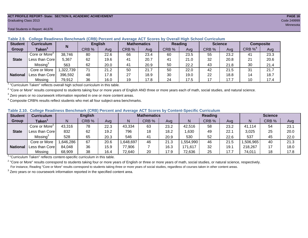#### **ACT PROFILE REPORT- State: SECTION II, ACADEMIC ACHIEVEMENT PAGE 16** Graduating Class 2013 Code 249999

#### Total Students in Report: 44,676

| <b>Student</b>  | <b>Curriculum</b>                                                            | N         | <b>English</b> |      |       | <b>Mathematics</b> | <b>Reading</b> |      | <b>Science</b> |      | <b>Composite</b> |      |
|-----------------|------------------------------------------------------------------------------|-----------|----------------|------|-------|--------------------|----------------|------|----------------|------|------------------|------|
| Group           | Taken $^{\rm \scriptscriptstyle I}$                                          |           | CRB %          | Avg  | CRB % | Avg                | CRB %          | Avg  | CRB %          | Ava  | CRB $\%^4$       | Avg  |
|                 | Core or More <sup>2</sup>                                                    | 38,746    | 80             | 22.6 | 66    | 23.4               | 60             | 23.5 | 55             | 23.2 | 41               | 23.3 |
| <b>State</b>    | Less than Core                                                               | 5,367     | 62             | 19.6 | 41    | 20.7               | 41             | 21.0 | 32             | 20.8 | 21               | 20.6 |
|                 | Missing <sup>3</sup>                                                         | 563       | 62             | 20.0 | 41    | 20.9               | 50             | 22.2 | 43             | 21.8 | 30               | 21.4 |
|                 | Core or More                                                                 | 1,322,739 | 71             | 21.2 | 50    | 21.7               | 50             | 22.0 | 42             | 21.5 | 31               | 21.7 |
| <b>National</b> | Less than Core                                                               | 396,592   | 48             | 17.8 | 27    | 18.9               | 30             | 19.0 | 22             | 18.8 | 14               | 18.7 |
|                 | Missing                                                                      | 79,912    | 36             | 16.0 | 19    | 17.8               | 24             | 17.5 | 17             | 17.7 | 10               | 17.4 |
|                 | $1$ "Curriculum Taken" reflects overall bigh school ourrigulum in this toble |           |                |      |       |                    |                |      |                |      |                  |      |

**Table 2.9. College Readiness Benchmark (CRB) Percent and Average ACT Scores by Overall High School Curriculum**

"Curriculum Taken" reflects overall high school curriculum in this table.

 $^2$  "Core or More" results correspond to students taking four or more years of English AND three or more years each of math, social studies, and natural science.

 $3$  Zero years or no coursework information reported in one or more content areas.

 $4$  Composite CRB% results reflect students who met all four subject-area benchmarks.

|  |  |  |  |  | Table 2.10. College Readiness Benchmark (CRB) Percent and Average ACT Scores by Content-Specific Curriculum |
|--|--|--|--|--|-------------------------------------------------------------------------------------------------------------|
|--|--|--|--|--|-------------------------------------------------------------------------------------------------------------|

| <b>Student</b>  | Curriculum                |          | <b>English</b> |      |          | <b>Mathematics</b> |      |          | <b>Reading</b> |      | <b>Science</b> |       |      |
|-----------------|---------------------------|----------|----------------|------|----------|--------------------|------|----------|----------------|------|----------------|-------|------|
| Group           | <b>Taken</b>              |          | CRB %          | Avg  |          | CRB %              | Avg  | N        | CRB %          | Avg  | N              | CRB % | Avg  |
| <b>State</b>    | Core or More <sup>2</sup> | 43,316   | 78             | 22.3 | 43,334   | 63                 | 23.2 | 42,516   | 58             | 23.2 | 41,114         | 54    | 23.7 |
|                 | Less than Core            | 832      | 62             | 19.2 | 796      | 18                 | 18.2 | ,630     | 49             | 22.1 | 3,025          | 25    | 20.0 |
|                 | Missing <sup>3</sup>      | 528      | 65             | 20.3 | 546      | 41                 | 20.9 | 530      | 52             | 22.6 | 537            | 45    | 22.0 |
|                 | Core or More              | .646,286 | 67             | 20.6 | ,648,697 | 46                 | 21.3 | .554,990 | 46             | 21.5 | ,506,965       | 40    | 21.3 |
| <b>National</b> | Less than Core            | 84,048   | 36             | 15.9 | 77,906   |                    | 16.3 | 171,617  | 32             | 19.1 | 218,267        |       | 18.0 |
|                 | Missing                   | 68,909   | 38             | 16.4 | 72,640   | 20                 | 17.9 | 72,636   | 25             | 17.7 | 74,011         | 18    | 17.8 |

<sup>1</sup> "Curriculum Taken" reflects content-specific curriculum in this table.

<sup>2</sup> "Core or More" results correspond to students taking four or more years of English or three or more years of math, social studies, or natural science, respectively. For instance, Reading "Core or More" results correspond to students taking three or more years of social studies, regardless of courses taken in other content areas.

 $3$  Zero years or no coursework information reported in the specified content area.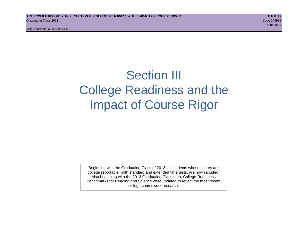# Section III College Readiness and the Impact of Course Rigor

Beginning with the Graduating Class of 2013, all students whose scores are college reportable, both standard and extended time tests, are now included. Also beginning with the 2013 Graduating Class data, College Readiness Benchmarks for Reading and Science were updated to reflect the most recent college coursework research.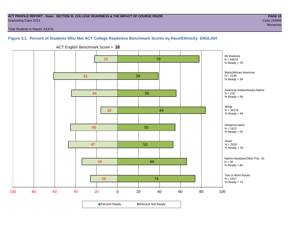#### **ACT PROFILE REPORT - State: SECTION III, COLLEGE READINESS & THE IMPACT OF COURSE RIGOR PAGE 18** Graduating Class 2013 Code 249999

Total Students in Report: 44,676

Minnesota

**Figure 3.1. Percent of Students Who Met ACT College Readiness Benchmark Scores by Race/Ethnicity: ENGLISH**



ACT English Benchmark Score = **18**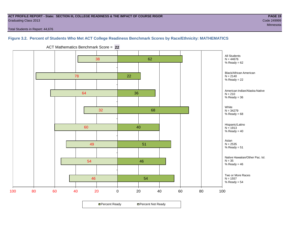#### **ACT PROFILE REPORT - State: SECTION III, COLLEGE READINESS & THE IMPACT OF COURSE RIGOR PAGE 19** Graduating Class 2013 Code 249999

Total Students in Report: 44,676

### **Figure 3.2. Percent of Students Who Met ACT College Readiness Benchmark Scores by Race/Ethnicity: MATHEMATICS**



ACT Mathematics Benchmark Score = **22**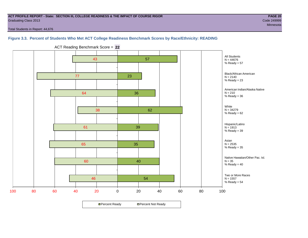#### **ACT PROFILE REPORT - State: SECTION III, COLLEGE READINESS & THE IMPACT OF COURSE RIGOR PAGE 20** Graduating Class 2013 Code 249999

Minnesota

Total Students in Report: 44,676

#### **Figure 3.3. Percent of Students Who Met ACT College Readiness Benchmark Scores by Race/Ethnicity: READING**



ACT Reading Benchmark Score = **22**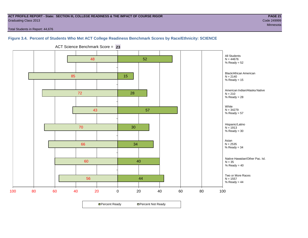#### **ACT PROFILE REPORT - State: SECTION III, COLLEGE READINESS & THE IMPACT OF COURSE RIGOR PAGE 21** Graduating Class 2013 Code 249999

Minnesota

Total Students in Report: 44,676

### **Figure 3.4. Percent of Students Who Met ACT College Readiness Benchmark Scores by Race/Ethnicity: SCIENCE**



ACT Science Benchmark Score = **23**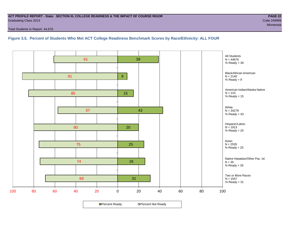#### **ACT PROFILE REPORT - State: SECTION III, COLLEGE READINESS & THE IMPACT OF COURSE RIGOR PAGE 22** Graduating Class 2013 Code 249999

Total Students in Report: 44,676

**Figure 3.5. Percent of Students Who Met ACT College Readiness Benchmark Scores by Race/Ethnicity: ALL FOUR**

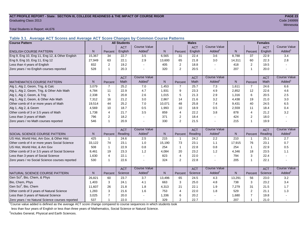#### **ACT PROFILE REPORT - State: SECTION III, COLLEGE READINESS & THE IMPACT OF COURSE RIGOR PAGE 23** Graduating Class 2013 Code 249999

Total Students in Report: 44,676

**Table 3.1. Average ACT Scores and Average ACT Score Changes by Common Course Patterns**

| <b>Course Pattern</b>                            |        |                | <b>All Students</b> |                     |              |                | <b>Males</b> |                       | <b>Females</b> |                |            |                        |
|--------------------------------------------------|--------|----------------|---------------------|---------------------|--------------|----------------|--------------|-----------------------|----------------|----------------|------------|------------------------|
|                                                  |        |                | <b>ACT</b>          | <b>Course Value</b> |              |                | <b>ACT</b>   | <b>Course Value</b>   |                |                | <b>ACT</b> | <b>Course Value</b>    |
| <b>ENGLISH COURSE PATTERN</b>                    | N.     | Percent        | English             | Added <sup>1</sup>  | $\mathsf{N}$ | Percent        | English      | Added <sup>1</sup>    | $\mathsf{N}$   | Percent        | English    | A d d e d <sup>1</sup> |
| Eng 9, Eng 10, Eng 11, Eng 12, & Other English   | 15,367 | 34             | 22.7                | 3.5                 | 6,565        | 31             | 22.4         | 3.6                   | 8,788          | 37             | 22.9       | 3.4                    |
| Eng 9, Eng 10, Eng 11, Eng 12                    | 27,949 | 63             | 22.1                | 2.9                 | 13,600       | 65             | 21.8         | 3.0                   | 14,311         | 60             | 22.3       | 2.8                    |
| Less than 4 years of English                     | 832    | 2              | 19.2                |                     | 405          | 2              | 18.8         | $\sim$                | 418            | 2              | 19.5       |                        |
| Zero years / no English courses reported         | 528    | $\overline{1}$ | 20.3                |                     | 320          | 2              | 20.5         |                       | 207            | 1              | 20.0       |                        |
|                                                  |        |                | <b>ACT</b>          | <b>Course Value</b> |              |                | <b>ACT</b>   | <b>Course Value</b>   |                |                | <b>ACT</b> | <b>Course Value</b>    |
| <b>MATHEMATICS COURSE PATTERN</b>                | N.     | Percent        | Math                | Added <sup>1</sup>  | N            | Percent        | Math         | Added <sup>1</sup>    | $\mathsf{N}$   | Percent        | Math       | A d d e d <sup>1</sup> |
| Alg 1, Alg 2, Geom, Trig, & Calc                 | 3,079  | $\overline{7}$ | 25.2                | 7.0                 | 1,453        | $\overline{7}$ | 25.7         | 7.3                   | 1,611          | $\overline{7}$ | 24.6       | 6.6                    |
| Alg 1, Alg 2, Geom, Trig, & Other Adv Math       | 4.784  | 11             | 22.9                | 4.7                 | 1,931        | 9              | 23.3         | 4.9                   | 2,852          | 12             | 22.6       | 4.6                    |
| Alg 1, Alg 2, Geom, & Trig                       | 2,338  | 5              | 20.8                | 2.6                 | 1,015        | 5              | 21.3         | 2.9                   | 1,316          | 6              | 20.5       | 2.5                    |
| Alg 1, Alg 2, Geom, & Other Adv Math             | 7,312  | 16             | 21.2                | 3.0                 | 2,867        | 14             | 21.6         | 3.2                   | 4,438          | 19             | 21.0       | 3.0                    |
| Other comb of 4 or more years of Math            | 19,514 | 44             | 25.2                | 7.0                 | 10,071       | 48             | 25.8         | 7.4                   | 9,431          | 40             | 24.5       | 6.5                    |
| Alg 1, Alg 2, & Geom                             | 4,569  | 10             | 18.7                | 0.5                 | 1,993        | 10             | 18.9         | 0.5                   | 2,559          | 11             | 18.4       | 0.4                    |
| Other comb of 3 or 3.5 years of Math             | 1.738  | $\overline{4}$ | 21.7                | 3.5                 | 859          | $\overline{4}$ | 22.2         | 3.8                   | 878            | $\overline{4}$ | 21.2       | 3.2                    |
| Less than 3 years of Math                        | 796    | 2              | 18.2                |                     | 371          | $\overline{2}$ | 18.4         | $\tilde{\phantom{a}}$ | 424            | $\overline{2}$ | 18.0       |                        |
| Zero years / no Math courses reported            | 546    |                | 20.9                |                     | 330          | $\overline{2}$ | 21.5         | $\mathbf{r}$          | 215            | 1              | 19.9       |                        |
|                                                  |        |                | <b>ACT</b>          | <b>Course Value</b> |              |                | <b>ACT</b>   | <b>Course Value</b>   |                |                | <b>ACT</b> | <b>Course Value</b>    |
| <b>SOCIAL SCIENCE COURSE PATTERN</b>             | N      | Percent        | Reading             | Added <sup>1</sup>  | N            | Percent        | Reading      | Added                 | N              | Percent        | Reading    | A d d e d <sup>1</sup> |
| US Hist, World Hist, Am Gov, & Other Hist        | 425    | -1             | 24.6                | 2.5                 | 215          | $\mathbf{1}$   | 24.2         | 2.2                   | 210            | 1              | 25.1       | 2.7                    |
| Other comb of 4 or more years Social Science     | 33,122 | 74             | 23.1                | 1.0                 | 15,190       | 73             | 23.1         | 1.1                   | 17,915         | 76             | 23.1       | 0.7                    |
| US Hist, World Hist, & Am Gov                    | 508    | $\mathbf{1}$   | 22.9                | 0.8                 | 254          | $\mathbf{1}$   | 22.8         | 0.8                   | 254            | 1              | 22.9       | 0.5                    |
| Other comb of 3 or 3.5 years of Social Science   | 8.461  | 19             | 23.3                | 1.2                 | 4,084        | 20             | 23.2         | 1.2                   | 4,346          | 18             | 23.5       | 1.1                    |
| Less than 3 years of Social Science              | 1,630  | $\overline{4}$ | 22.1                |                     | 823          | $\overline{4}$ | 22.0         | $\sim$                | 794            | 3              | 22.4       |                        |
| Zero years / no Social Science courses reported  | 530    | -1             | 22.6                |                     | 324          | $\overline{2}$ | 22.8         | $\blacksquare$        | 205            | 1              | 22.1       |                        |
|                                                  |        |                | <b>ACT</b>          | <b>Course Value</b> |              |                | <b>ACT</b>   | <b>Course Value</b>   |                |                | <b>ACT</b> | <b>Course Value</b>    |
| NATURAL SCIENCE COURSE PATTERN                   | N.     | Percent        | Science             | Added <sup>1</sup>  | N            | Percent        | Science      | Added <sup>1</sup>    | $\mathsf{N}$   | Percent        | Science    | A d d e d <sup>1</sup> |
| Gen Sci <sup>2</sup> , Bio, Chem, & Phys         | 26,821 | 60             | 23.7                | 3.7                 | 13,496       | 65             | 24.5         | 4.3                   | 13,291         | 56             | 23.0       | 3.2                    |
| Bio, Chem, Phys                                  | 1.403  | 3              | 24.1                | 4.1                 | 663          | 3              | 25.0         | 4.8                   | 738            | 3              | 23.2       | 3.4                    |
| Gen Sci <sup>2</sup> , Bio, Chem                 | 11,607 | 26             | 21.8                | 1.8                 | 4,313        | 21             | 22.1         | 1.9                   | 7,279          | 31             | 21.5       | 1.7                    |
| Other comb of 3 years of Natural Science         | 1,283  | 3              | 21.6                | 1.6                 | 753          | $\overline{4}$ | 22.0         | 1.8                   | 529            | $\mathbf 2$    | 21.1       | 1.3                    |
| Less than 3 years of Natural Science             | 3,025  | $\overline{7}$ | 20.0                |                     | 1,336        | 6              | 20.2         |                       | 1,680          | $\overline{7}$ | 19.8       |                        |
| Zero years / no Natural Science courses reported | 537    |                | 22.0                |                     | 329          | $\overline{2}$ | 22.7         |                       | 207            | 1              | 21.0       |                        |

<sup>1</sup>Course value added is defined as the average ACT score change compared to course sequences in which students took

less than four years of English or less than three years of Mathematics, Social Science or Natural Science.

<sup>2</sup>Includes General, Physical and Earth Sciences.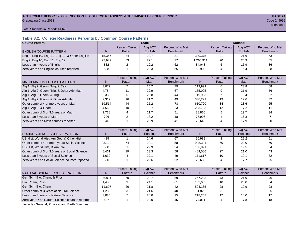# ACT PROFILE REPORT - State: SECTION III, COLLEGE READINESS & THE IMPACT OF COURSE RIGOR **PAGE 24** Graduating Class 2013 Code 249999

Minnesota

Total Students in Report: 44,676

### **Table 3.2. College Readiness Percents by Common Course Patterns**

| <b>Course Pattern</b>                            |              |                       | <b>State</b> |                  | <b>National</b> |                       |         |                  |  |
|--------------------------------------------------|--------------|-----------------------|--------------|------------------|-----------------|-----------------------|---------|------------------|--|
|                                                  |              | <b>Percent Taking</b> | Avg ACT      | Percent Who Met  |                 | <b>Percent Taking</b> | Avg ACT | Percent Who Met  |  |
| <b>ENGLISH COURSE PATTERN</b>                    | $\mathsf{N}$ | Pattern               | English      | <b>Benchmark</b> | N               | Pattern               | English | <b>Benchmark</b> |  |
| Eng 9, Eng 10, Eng 11, Eng 12, & Other English   | 15,367       | 34                    | 22.7         | 81               | 380,375         | 21                    | 21.6    | 73               |  |
| Eng 9, Eng 10, Eng 11, Eng 12                    | 27,949       | 63                    | 22.1         | 77               | 1,265,911       | 70                    | 20.3    | 65               |  |
| Less than 4 years of English                     | 832          | 2                     | 19.2         | 62               | 84,048          | 5                     | 15.9    | 36               |  |
| Zero years / no English courses reported         | 528          | $\mathbf{1}$          | 20.3         | 65               | 68,909          | 4                     | 16.4    | 38               |  |
|                                                  |              |                       |              |                  |                 |                       |         |                  |  |
|                                                  |              | <b>Percent Taking</b> | Avg ACT      | Percent Who Met  |                 | <b>Percent Taking</b> | Avg ACT | Percent Who Met  |  |
| <b>MATHEMATICS COURSE PATTERN</b>                | $\mathsf{N}$ | Pattern               | Math         | <b>Benchmark</b> | $\mathsf{N}$    | Pattern               | Math    | <b>Benchmark</b> |  |
| Alg 1, Alg 2, Geom, Trig, & Calc                 | 3,079        | $\overline{7}$        | 25.2         | 79               | 113,999         | 6                     | 23.8    | 68               |  |
| Alg 1, Alg 2, Geom, Trig, & Other Adv Math       | 4,784        | 11                    | 22.9         | 67               | 155,095         | 9                     | 21.9    | 56               |  |
| Alg 1, Alg 2, Geom, & Trig                       | 2,338        | 5                     | 20.8         | 44               | 119,993         | $\overline{7}$        | 19.4    | 32               |  |
| Alg 1, Alg 2, Geom, & Other Adv Math             | 7,312        | 16                    | 21.2         | 49               | 336,291         | 19                    | 19.6    | 32               |  |
| Other comb of 4 or more years of Math            | 19,514       | 44                    | 25.2         | 78               | 610,720         | 34                    | 23.6    | 65               |  |
| Alg 1, Alg 2, & Geom                             | 4,569        | 10                    | 18.7         | 23               | 223,733         | 12                    | 17.2    | 11               |  |
| Other comb of 3 or 3.5 years of Math             | 1,738        | 4                     | 21.7         | 51               | 88,866          | 5                     | 19.7    | 34               |  |
| Less than 3 years of Math                        | 796          | $\overline{2}$        | 18.2         | 18               | 77,906          | 4                     | 16.3    | $\overline{7}$   |  |
| Zero years / no Math courses reported            | 546          | $\mathbf{1}$          | 20.9         | 41               | 72,640          | 4                     | 17.9    | 20               |  |
|                                                  |              |                       |              |                  |                 |                       |         |                  |  |
|                                                  |              | <b>Percent Taking</b> | Avg ACT      | Percent Who Met  |                 | <b>Percent Taking</b> | Avg ACT | Percent Who Met  |  |
| <b>SOCIAL SCIENCE COURSE PATTERN</b>             | N            | Pattern               | Reading      | <b>Benchmark</b> | N               | Pattern               | Reading | <b>Benchmark</b> |  |
| US Hist, World Hist, Am Gov, & Other Hist        | 425          | $\mathbf 1$           | 24.6         | 67               | 50,989          | 3                     | 22.2    | 51               |  |
| Other comb of 4 or more years Social Science     | 33,122       | 74                    | 23.1         | 58               | 908,394         | 50                    | 22.0    | 50               |  |
| US Hist, World Hist, & Am Gov                    | 508          | $\mathbf{1}$          | 22.9         | 54               | 106,021         | 6                     | 19.5    | 34               |  |
| Other comb of 3 or 3.5 years of Social Science   | 8,461        | 19                    | 23.3         | 58               | 489,586         | 27                    | 21.0    | 43               |  |
| Less than 3 years of Social Science              | 1,630        | $\overline{4}$        | 22.1         | 49               | 171,617         | 10                    | 19.1    | 32               |  |
| Zero years / no Social Science courses reported  | 530          | 1                     | 22.6         | 52               | 72,636          | $\overline{4}$        | 17.7    | 25               |  |
|                                                  |              |                       |              |                  |                 |                       |         |                  |  |
|                                                  |              | <b>Percent Taking</b> | Avg ACT      | Percent Who Met  |                 | <b>Percent Taking</b> | Avg ACT | Percent Who Met  |  |
| NATURAL SCIENCE COURSE PATTERN                   | N            | Pattern               | Science      | <b>Benchmark</b> | N               | Pattern               | Science | <b>Benchmark</b> |  |
| Gen Sci <sup>1</sup> , Bio, Chem, & Phys         | 26,821       | 60                    | 23.7         | 59               | 767,293         | 43                    | 21.9    | 46               |  |
| Bio, Chem, Phys                                  | 1,403        | 3                     | 24.1         | 61               | 183,685         | 10                    | 23.0    | 54               |  |
| Gen Sci <sup>1</sup> , Bio, Chem                 | 11,607       | 26                    | 21.8         | 42               | 504,165         | 28                    | 19.9    | 28               |  |
| Other comb of 3 years of Natural Science         | 1,283        | 3                     | 21.6         | 40               | 51,822          | 3                     | 19.1    | 25               |  |
| Less than 3 years of Natural Science             | 3,025        | $\overline{7}$        | 20.0         | 25               | 218,267         | 12                    | 18.0    | 17               |  |
| Zero years / no Natural Science courses reported | 537          | $\mathbf{1}$          | 22.0         | 45               | 74,011          | 4                     | 17.8    | 18               |  |

<sup>1</sup>Includes General, Physical and Earth Sciences.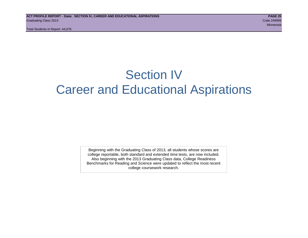# Section IV Career and Educational Aspirations

Beginning with the Graduating Class of 2013, all students whose scores are college reportable, both standard and extended time tests, are now included. Also beginning with the 2013 Graduating Class data, College Readiness Benchmarks for Reading and Science were updated to reflect the most recent college coursework research.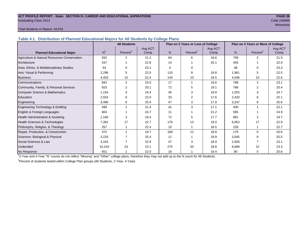#### **ACT PROFILE REPORT - State: SECTION IV, CAREER AND EDUCATIONAL ASPIRATIONS PAGE 26** Graduating Class 2013 Code 249999

# Minnesota

#### Total Students in Report: 44,676

**Table 4.1. Distribution of Planned Educational Majors for All Students by College Plans**

|                                              |                | <b>All Students</b>  |                 |          | Plan on 2 Years or Less of College |                 | Plan on 4 Years or More of College |                      |                 |  |
|----------------------------------------------|----------------|----------------------|-----------------|----------|------------------------------------|-----------------|------------------------------------|----------------------|-----------------|--|
| <b>Planned Educational Major</b>             | N <sup>1</sup> | Percent <sup>2</sup> | Avg ACT<br>Comp | N        | Percent <sup>2</sup>               | Avg ACT<br>Comp | N.                                 | Percent <sup>2</sup> | Avg ACT<br>Comp |  |
| Agriculture & Natural Resources Conservation | 932            | $\overline{2}$       | 21.2            | 84       | 6                                  | 18.6            | 799                                | $\overline{2}$       | 21.5            |  |
| Architecture                                 | 437            |                      | 22.8            | 14       |                                    | 20.1            | 405                                |                      | 22.9            |  |
| Area, Ethnic, & Multidisciplinary Studies    | 54             | $\Omega$             | 23.1            | $\Omega$ | $\Omega$                           |                 | 48                                 | $\Omega$             | 23.3            |  |
| Arts: Visual & Performing                    | 2,296          | 5                    | 22.0            | 110      | 8                                  | 18.8            | 1,961                              | 5                    | 22.5            |  |
| <b>Business</b>                              | 4,453          | 10                   | 22.4            | 144      | 10                                 | 18.5            | 4,036                              | 10                   | 22.6            |  |
| Communications                               | 842            | $\overline{2}$       | 23.0            | 17       |                                    | 16.6            | 788                                | $\overline{2}$       | 23.1            |  |
| Community, Family, & Personal Services       | 923            | 2                    | 20.1            | 72       | 5                                  | 19.1            | 788                                | 2                    | 20.4            |  |
| <b>Computer Science &amp; Mathematics</b>    | 1,154          | 3                    | 24.4            | 45       | 3                                  | 19.9            | 1,025                              | 3                    | 24.7            |  |
| Education                                    | 2,553          | 6                    | 22.0            | 33       | 2                                  | 17.6            | 2,420                              | 6                    | 22.1            |  |
| Engineering                                  | 3,490          | 8                    | 25.4            | 47       | 3                                  | 17.9            | 3,247                              | 8                    | 25.6            |  |
| Engineering Technology & Drafting            | 490            |                      | 21.4            | 41       | 3                                  | 17.1            | 400                                |                      | 22.1            |  |
| English & Foreign Languages                  | 663            |                      | 24.7            | 11       |                                    | 21.2            | 585                                |                      | 24.9            |  |
| Health Administration & Assisting            | 1.160          | 3                    | 19.4            | 72       | 5                                  | 17.7            | 981                                | 2                    | 19.7            |  |
| Health Sciences & Technologies               | 7,391          | 17                   | 22.7            | 176      | 13                                 | 19.0            | 6,853                              | 17                   | 22.9            |  |
| Philosophy, Religion, & Theology             | 257            |                      | 22.4            | 10       |                                    | 18.5            | 228                                |                      | 22.7            |  |
| Repair, Production, & Construction           | 372            |                      | 19.7            | 169      | 12                                 | 18.8            | 179                                | $\Omega$             | 20.6            |  |
| Sciences: Biological & Physical              | 3,233          |                      | 25.4            | 11       |                                    | 19.9            | 3,045                              | 8                    | 25.5            |  |
| Social Sciences & Law                        | 3.163          |                      | 22.9            | 47       | 3                                  | 18.9            | 2,928                              | 7                    | 23.1            |  |
| Undecided                                    | 10,153         | 23                   | 23.1            | 275      | 20                                 | 18.8            | 8,689                              | 22                   | 23.3            |  |
| No Response                                  | 651            |                      | 22.0            | 16       |                                    | 16.4            | 80                                 | 0                    | 20.6            |  |

1 2-Year and 4-Year "N" counts do not reflect "Missing" and "Other" college plans, therefore they may not add up to the N count for All Students.

<sup>2</sup> Percent of students tested within College Plan groups (All Students, 2-Year, 4-Year).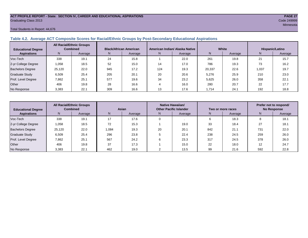#### **ACT PROFILE REPORT - State: SECTION IV, CAREER AND EDUCATIONAL ASPIRATIONS PAGE 27** Graduating Class 2013 Code 249999

#### Total Students in Report: 44,676

#### **Table 4.2. Average ACT Composite Scores for Racial/Ethnic Groups by Post-Secondary Educational Aspirations**

| <b>Educational Degree</b> | <b>All Racial/Ethnic Groups</b><br><b>Combined</b> |         | <b>Black/African American</b> |         |     | American Indian/ Alaska Native |        | White   | Hispanic/Latino |         |  |
|---------------------------|----------------------------------------------------|---------|-------------------------------|---------|-----|--------------------------------|--------|---------|-----------------|---------|--|
| <b>Aspirations</b>        | N.                                                 | Average | N.                            | Average | N.  | Average                        | N      | Average | N.              | Average |  |
| Voc-Tech                  | 338                                                | 19.1    | 24                            | 15.8    |     | 22.0                           | 261    | 19.8    | 21              | 15.7    |  |
| 2-yr College Degree       | 1.058                                              | 18.5    | 52                            | 15.0    | 14  | 17.0                           | 786    | 19.3    | 73              | 16.2    |  |
| <b>Bachelors Degree</b>   | 25,120                                             | 22.0    | 945                           | 17.2    | 124 | 19.3                           | 20,337 | 22.6    | 1.037           | 19.7    |  |
| <b>Graduate Study</b>     | 6.509                                              | 25.4    | 205                           | 20.1    | 20  | 20.6                           | 5,276  | 25.9    | 210             | 23.0    |  |
| Prof. Level Degree        | 7,862                                              | 25.1    | 577                           | 19.6    | 34  | 23.2                           | 5,625  | 26.0    | 358             | 22.1    |  |
| Other                     | 406                                                | 19.8    | 28                            | 16.6    |     | 16.0                           | 280    | 20.7    | 22              | 17.7    |  |
| No Response               | 3,383                                              | 22.1    | 309                           | 16.6    |     | 17.6                           | 1,714  | 24.1    | 192             | 18.8    |  |

| <b>Educational Degree</b> |        | <b>All Racial/Ethnic Groups</b><br><b>Combined</b><br>Asian |       |         |    | Native Hawaiian/<br><b>Other Pacific Islander</b> |     | Two or more races | Prefer not to respond/<br><b>No Response</b> |         |  |
|---------------------------|--------|-------------------------------------------------------------|-------|---------|----|---------------------------------------------------|-----|-------------------|----------------------------------------------|---------|--|
| <b>Aspirations</b>        | N      | Average                                                     | N     | Average | N  | Average                                           |     | Average           | N                                            | Average |  |
| Voc-Tech                  | 338    | 19.1                                                        | 17    | 17.6    |    |                                                   |     | 18.3              | ö                                            | 18.1    |  |
| 2-yr College Degree       | 1,058  | 18.5                                                        | 72    | 15.3    |    | 19.0                                              | 33  | 18.4              | 27<br>∠                                      | 18.1    |  |
| <b>Bachelors Degree</b>   | 25,120 | 22.0                                                        | 1.084 | 19.3    | 20 | 20.1                                              | 842 | 21.7              | 731                                          | 22.0    |  |
| <b>Graduate Study</b>     | 6,509  | 25.4                                                        | 296   | 23.8    |    | 22.4                                              | 238 | 24.5              | 259                                          | 26.0    |  |
| Prof. Level Degree        | 7,862  | 25.1                                                        | 567   | 24.2    |    | 23.3                                              | 317 | 24.5              | 378                                          | 26.0    |  |
| Other                     | 406    | 19.8                                                        | 37    | 17.3    |    | 15.0                                              | 22  | 18.0              | 12                                           | 24.7    |  |
| No Response               | 3,383  | 22.1                                                        | 462   | 19.0    |    | 13.5                                              | 99  | 21.6              | 592                                          | 22.8    |  |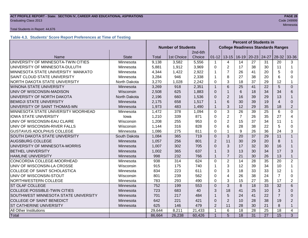# **ACT PROFILE REPORT - State: SECTION IV, CAREER AND EDUCATIONAL ASPIRATIONS PAGE 28** Graduating Class 2013 Code 249999

#### Total Students in Report: 44,676

#### **Table 4.3. Students' Score Report Preferences at Time of Testing**

|                                      |              |        |                           |         | <b>Percent of Students in</b>             |                |                |                         |       |                 |                |
|--------------------------------------|--------------|--------|---------------------------|---------|-------------------------------------------|----------------|----------------|-------------------------|-------|-----------------|----------------|
|                                      |              |        | <b>Number of Students</b> |         | <b>College Readiness Standards Ranges</b> |                |                |                         |       |                 |                |
|                                      |              |        |                           | 2nd-6th |                                           |                |                |                         |       |                 |                |
| Name                                 | <b>State</b> | Total  | 1st Choice                | Choice  | $01 - 12$                                 |                |                | $13-15$   16-19   20-23 | 24-27 | $28-32$         | 33-36          |
| UNIVERSITY OF MINNESOTA-TWIN CITIES  | Minnesota    | 9,138  | 3,582                     | 5,556   | 1                                         | 4              | 14             | 27                      | 31    | 20              | 3              |
| UNIVERSITY OF MINNESOTA-DULUTH       | Minnesota    | 5,881  | 1,912                     | 3,969   | $\Omega$                                  | $\overline{2}$ | 17             | 38                      | 30    | 11              | $\mathbf 1$    |
| MINNESOTA STATE UNIVERSITY MANKATO   | Minnesota    | 4,344  | 1,422                     | 2,922   | 1                                         | $\overline{7}$ | 26             | 41                      | 20    | 5               | 0              |
| SAINT CLOUD STATE UNIVERSITY         | Minnesota    | 3,284  | 946                       | 2,338   | 1                                         | 8              | 27             | 38                      | 20    | 6               | 0              |
| NORTH DAKOTA STATE UNIVERSITY        | North Dakota | 3,270  | 1,028                     | 2,242   | 0                                         | 3              | 18             | 37                      | 29    | 12              | 1              |
| <b>WINONA STATE UNIVERSITY</b>       | Minnesota    | 3,269  | 918                       | 2,351   | $\mathbf{1}$                              | 6              | 25             | 41                      | 22    | 5               | $\Omega$       |
| UNIV OF WISCONSIN-MADISON            | Wisconsin    | 2,508  | 625                       | 1,883   | $\Omega$                                  | $\mathbf{1}$   | 6              | 18                      | 34    | 34              | 6              |
| UNIVERSITY OF NORTH DAKOTA           | North Dakota | 2,196  | 660                       | 1,536   | $\Omega$                                  | $\overline{2}$ | 16             | 39                      | 29    | 13              |                |
| <b>BEMIDJI STATE UNIVERSITY</b>      | Minnesota    | 2,175  | 658                       | 1,517   | 1                                         | 6              | 30             | 39                      | 19    | 4               | $\Omega$       |
| UNIVERSITY OF SAINT THOMAS-MN        | Minnesota    | 1,973  | 483                       | 1,490   | $\mathbf{1}$                              | 3              | 12             | 29                      | 35    | 18              | $\overline{2}$ |
| MINNESOTA STATE UNIVERSITY MOORHEAD  | Minnesota    | 1,472  | 378                       | 1,094   | $\mathbf 0$                               | 3              | 26             | 39                      | 25    | $6\phantom{1}6$ | 0              |
| <b>IOWA STATE UNIVERSITY</b>         | lowa         | 1,210  | 339                       | 871     | $\Omega$                                  | $\overline{2}$ | $\overline{7}$ | 26                      | 35    | 27              | 4              |
| UNIV OF WISCONSIN-EAU CLAIRE         | Wisconsin    | 1,208  | 255                       | 953     | 0                                         | $\overline{2}$ | 15             | 37                      | 34    | 11              | 1              |
| UNIV OF WISCONSIN-RIVER FALLS        | Wisconsin    | 1,144  | 316                       | 828     | 0                                         | 6              | 28             | 38                      | 22    | 5               | $\Omega$       |
| <b>GUSTAVUS ADOLPHUS COLLEGE</b>     | Minnesota    | 1,086  | 275                       | 811     | $\Omega$                                  | $\mathbf{1}$   | 9              | 26                      | 36    | 24              | 3              |
| SOUTH DAKOTA STATE UNIVERSITY        | South Dakota | 1,084  | 365                       | 719     | $\Omega$                                  | 3              | 20             | 37                      | 29    | 11              | $\mathbf{1}$   |
| <b>AUGSBURG COLLEGE</b>              | Minnesota    | 1,057  | 256                       | 801     | $\overline{2}$                            | 11             | 30             | 29                      | 20    | 8               | 1              |
| UNIVERSITY OF MINNESOTA-MORRIS       | Minnesota    | 1,007  | 302                       | 705     | $\Omega$                                  | 3              | 17             | 32                      | 30    | 16              | 1              |
| <b>BETHEL UNIVERSITY</b>             | Minnesota    | 1,002  | 365                       | 637     | $\mathbf{1}$                              | 3              | 13             | 30                      | 34    | 17              | 3              |
| <b>HAMLINE UNIVERSITY</b>            | Minnesota    | 998    | 232                       | 766     | $\mathbf{1}$                              | $\overline{7}$ | 21             | 30                      | 26    | 13              | $\mathbf{1}$   |
| CONCORDIA COLLEGE-MOORHEAD           | Minnesota    | 938    | 314                       | 624     | $\mathbf 0$                               | $\overline{2}$ | 14             | 28                      | 35    | 20              | $\overline{2}$ |
| UNIV OF WISCONSIN-LA CROSSE          | Wisconsin    | 915    | 175                       | 740     | $\mathbf{1}$                              | 3              | 12             | 39                      | 34    | 10              | $\mathbf 1$    |
| COLLEGE OF SAINT SCHOLASTICA         | Minnesota    | 834    | 223                       | 611     | 0                                         | 3              | 18             | 33                      | 33    | 12              | 1              |
| UNIV OF WISCONSIN-STOUT              | Wisconsin    | 801    | 239                       | 562     | $\Omega$                                  | $\overline{4}$ | 26             | 38                      | 24    | $\overline{7}$  | 0              |
| NORTHWESTERN COLLEGE                 | Minnesota    | 783    | 293                       | 490     | $\Omega$                                  | 3              | 15             | 27                      | 35    | 17              | 2              |
| ST OLAF COLLEGE                      | Minnesota    | 752    | 199                       | 553     | $\overline{0}$                            | 3              | 8              | 18                      | 33    | 32              | 6              |
| <b>COLLEGE POSSIBLE-TWIN CITIES</b>  | Minnesota    | 723    | 683                       | 40      | 3                                         | 18             | 41             | 25                      | 10    | 3               | $\Omega$       |
| SOUTHWEST MINNESOTA STATE UNIVERSITY | Minnesota    | 701    | 217                       | 484     | $\mathbf{1}$                              | 5              | 24             | 41                      | 22    | $\overline{7}$  | $\Omega$       |
| <b>COLLEGE OF SAINT BENEDICT</b>     | Minnesota    | 642    | 221                       | 421     | $\Omega$                                  | 2              | 10             | 28                      | 38    | 19              | 2              |
| ST CATHERINE UNIVERSITY              | Minnesota    | 625    | 146                       | 479     | $\overline{2}$                            | 11             | 28             | 30                      | 21    | 8               | $\mathbf{1}$   |
| All Other Institutions               |              | 29,644 | 8,211                     | 21,433  | $\mathbf{1}$                              | 6              | 18             | 28                      | 25    | 18              | 4              |
| <b>Total</b>                         |              | 86,664 | 26,238                    | 60,426  | $\overline{1}$                            | 5              | 18             | 31                      | 27    | 15              | 3              |

Minnesota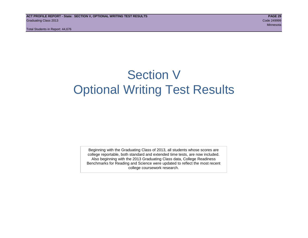# Section V Optional Writing Test Results

Beginning with the Graduating Class of 2013, all students whose scores are college reportable, both standard and extended time tests, are now included. Also beginning with the 2013 Graduating Class data, College Readiness Benchmarks for Reading and Science were updated to reflect the most recent college coursework research.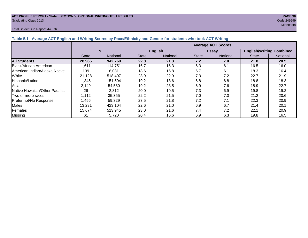# **ACT PROFILE REPORT - State: SECTION V, OPTIONAL WRITING TEST RESULTS PAGE 30** Graduating Class 2013 Code 249999

#### Total Students in Report: 44,676

Minnesota

| $\frac{1}{2}$                         |              |                 |                           |                |              |              |                                 |          |  |  |  |  |
|---------------------------------------|--------------|-----------------|---------------------------|----------------|--------------|--------------|---------------------------------|----------|--|--|--|--|
|                                       |              |                 | <b>Average ACT Scores</b> |                |              |              |                                 |          |  |  |  |  |
|                                       | N            |                 |                           | <b>English</b> |              | <b>Essay</b> | <b>English/Writing Combined</b> |          |  |  |  |  |
|                                       | <b>State</b> | <b>National</b> | <b>State</b>              | National       | <b>State</b> | National     | <b>State</b>                    | National |  |  |  |  |
| <b>All Students</b>                   | 28,966       | 942,769         | 22.8                      | 21.3           | 7.2          | 7.0          | 21.8                            | 20.5     |  |  |  |  |
| Black/African American                | 1.611        | 114,751         | 16.7                      | 16.3           | 6.3          | 6.1          | 16.5                            | 16.0     |  |  |  |  |
| <b>IAmerican Indian/Alaska Native</b> | 139          | 6,031           | 18.6                      | 16.8           | 6.7          | 6.1          | 18.3                            | 16.4     |  |  |  |  |
| White                                 | 21,128       | 518,407         | 23.9                      | 22.9           | 7.3          | 7.2          | 22.7                            | 21.9     |  |  |  |  |
| Hispanic/Latino                       | 1,345        | 151,504         | 19.2                      | 18.6           | 6.8          | 6.8          | 18.8                            | 18.3     |  |  |  |  |
| Asian                                 | 2,149        | 54,580          | 19.2                      | 23.5           | 6.9          | 7.6          | 18.9                            | 22.7     |  |  |  |  |
| Native Hawaiian/Other Pac. Isl.       | 26           | 2,812           | 20.0                      | 19.5           | 7.3          | 6.9          | 19.8                            | 19.2     |  |  |  |  |
| Two or more races                     | 1,112        | 35,355          | 22.2                      | 21.5           | 7.0          | 7.0          | 21.2                            | 20.6     |  |  |  |  |
| Prefer not/No Response                | .456         | 59,329          | 23.5                      | 21.8           | 7.2          | 7.1          | 22.3                            | 20.9     |  |  |  |  |
| <b>Males</b>                          | 13,231       | 423,104         | 22.6                      | 21.0           | 6.9          | 6.7          | 21.4                            | 20.1     |  |  |  |  |
| Females                               | 15,674       | 513,945         | 23.0                      | 21.6           | 7.4          | 7.2          | 22.1                            | 20.9     |  |  |  |  |
| Missing                               | 61           | 5,720           | 20.4                      | 16.6           | 6.9          | 6.3          | 19.8                            | 16.5     |  |  |  |  |

**Table 5.1. Average ACT English and Writing Scores by Race/Ethnicity and Gender for students who took ACT Writing**